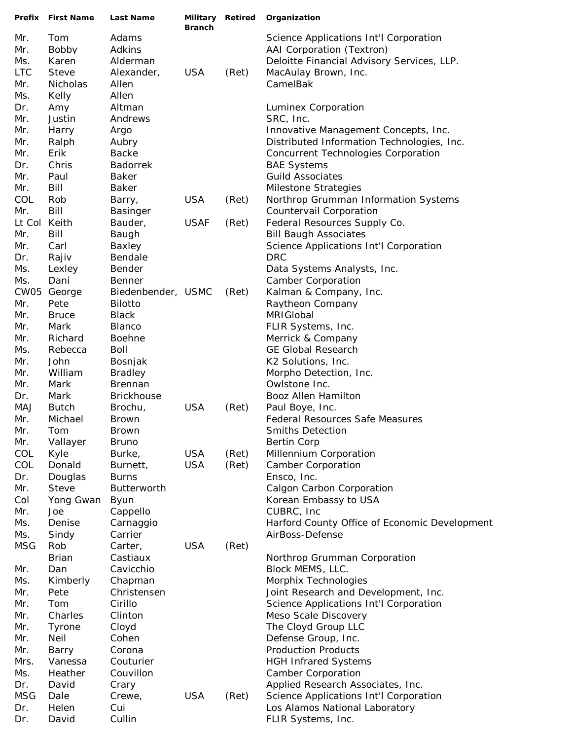| Prefix     | <b>First Name</b>       | Last Name                          | Military Retired<br><b>Branch</b> |       | Organization                                  |
|------------|-------------------------|------------------------------------|-----------------------------------|-------|-----------------------------------------------|
| Mr.        | Tom                     | Adams                              |                                   |       | Science Applications Int'l Corporation        |
| Mr.        | Bobby                   | Adkins                             |                                   |       | AAI Corporation (Textron)                     |
| Ms.        | Karen                   | Alderman                           |                                   |       | Deloitte Financial Advisory Services, LLP.    |
| <b>LTC</b> | <b>Steve</b>            | Alexander,                         | <b>USA</b>                        | (Ret) | MacAulay Brown, Inc.                          |
| Mr.        | Nicholas                | Allen                              |                                   |       | CamelBak                                      |
| Ms.        | Kelly                   | Allen                              |                                   |       |                                               |
| Dr.        | Amy                     | Altman                             |                                   |       | Luminex Corporation                           |
| Mr.        | Justin                  | Andrews                            |                                   |       | SRC, Inc.                                     |
| Mr.        | Harry                   | Argo                               |                                   |       | Innovative Management Concepts, Inc.          |
| Mr.        | Ralph                   | Aubry                              |                                   |       | Distributed Information Technologies, Inc.    |
| Mr.        | Erik                    | <b>Backe</b>                       |                                   |       | <b>Concurrent Technologies Corporation</b>    |
| Dr.        | Chris                   | <b>Badorrek</b>                    |                                   |       | <b>BAE Systems</b>                            |
| Mr.        | Paul                    | <b>Baker</b>                       |                                   |       | <b>Guild Associates</b>                       |
| Mr.        | Bill                    | <b>Baker</b>                       |                                   |       | <b>Milestone Strategies</b>                   |
| COL        | Rob                     | Barry,                             | <b>USA</b>                        | (Ret) | Northrop Grumman Information Systems          |
| Mr.        | Bill                    | <b>Basinger</b>                    |                                   |       | Countervail Corporation                       |
| Lt Col     | Keith                   | Bauder,                            | <b>USAF</b>                       | (Ret) | Federal Resources Supply Co.                  |
| Mr.        | Bill                    | Baugh                              |                                   |       | <b>Bill Baugh Associates</b>                  |
| Mr.        | Carl                    | Baxley                             |                                   |       | Science Applications Int'l Corporation        |
| Dr.        | Rajiv                   | Bendale                            |                                   |       | <b>DRC</b>                                    |
| Ms.        | Lexley                  | Bender                             |                                   |       | Data Systems Analysts, Inc.                   |
| Ms.        | Dani                    | <b>Benner</b>                      |                                   |       | <b>Camber Corporation</b>                     |
| CW05       | George                  | Biedenbender, USMC                 |                                   | (Ret) | Kalman & Company, Inc.                        |
| Mr.        | Pete                    | <b>Bilotto</b>                     |                                   |       | Raytheon Company                              |
| Mr.        | <b>Bruce</b>            | <b>Black</b>                       |                                   |       | MRIGIobal                                     |
| Mr.        | Mark                    | Blanco                             |                                   |       | FLIR Systems, Inc.                            |
| Mr.        | Richard                 | <b>Boehne</b>                      |                                   |       | Merrick & Company                             |
| Ms.        | Rebecca                 | <b>Boll</b>                        |                                   |       | <b>GE Global Research</b>                     |
| Mr.        | John                    | Bosnjak                            |                                   |       | K2 Solutions, Inc.                            |
| Mr.        | William                 | <b>Bradley</b>                     |                                   |       | Morpho Detection, Inc.                        |
| Mr.        | Mark                    | <b>Brennan</b>                     |                                   |       | Owlstone Inc.                                 |
| Dr.        | Mark                    | <b>Brickhouse</b>                  |                                   |       | Booz Allen Hamilton                           |
| MAJ        | <b>Butch</b>            | Brochu,                            | <b>USA</b>                        | (Ret) | Paul Boye, Inc.                               |
| Mr.        | Michael                 | <b>Brown</b>                       |                                   |       | <b>Federal Resources Safe Measures</b>        |
| Mr.        | Tom                     | <b>Brown</b>                       |                                   |       | Smiths Detection                              |
| Mr.        | Vallayer                | <b>Bruno</b>                       |                                   |       | <b>Bertin Corp</b>                            |
| COL        | Kyle                    | Burke,                             | <b>USA</b>                        | (Ret) | Millennium Corporation                        |
| COL        | Donald                  | Burnett,                           | <b>USA</b>                        | (Ret) | <b>Camber Corporation</b>                     |
| Dr.<br>Mr. | Douglas<br><b>Steve</b> | <b>Burns</b><br><b>Butterworth</b> |                                   |       | Ensco, Inc.<br>Calgon Carbon Corporation      |
| Col        | Yong Gwan               | <b>Byun</b>                        |                                   |       | Korean Embassy to USA                         |
| Mr.        | Joe                     | Cappello                           |                                   |       | CUBRC, Inc.                                   |
| Ms.        | Denise                  | Carnaggio                          |                                   |       | Harford County Office of Economic Development |
| Ms.        | Sindy                   | Carrier                            |                                   |       | AirBoss-Defense                               |
| <b>MSG</b> | Rob                     | Carter,                            | <b>USA</b>                        | (Ret) |                                               |
|            | <b>Brian</b>            | Castiaux                           |                                   |       | Northrop Grumman Corporation                  |
| Mr.        | Dan                     | Cavicchio                          |                                   |       | Block MEMS, LLC.                              |
| Ms.        | Kimberly                | Chapman                            |                                   |       | Morphix Technologies                          |
| Mr.        | Pete                    | Christensen                        |                                   |       | Joint Research and Development, Inc.          |
| Mr.        | Tom                     | Cirillo                            |                                   |       | Science Applications Int'l Corporation        |
| Mr.        | Charles                 | Clinton                            |                                   |       | Meso Scale Discovery                          |
| Mr.        | Tyrone                  | Cloyd                              |                                   |       | The Cloyd Group LLC                           |
| Mr.        | <b>Neil</b>             | Cohen                              |                                   |       | Defense Group, Inc.                           |
| Mr.        | Barry                   | Corona                             |                                   |       | <b>Production Products</b>                    |
| Mrs.       | Vanessa                 | Couturier                          |                                   |       | <b>HGH Infrared Systems</b>                   |
| Ms.        | Heather                 | Couvillon                          |                                   |       | <b>Camber Corporation</b>                     |
| Dr.        | David                   | Crary                              |                                   |       | Applied Research Associates, Inc.             |
| <b>MSG</b> | Dale                    | Crewe,                             | <b>USA</b>                        | (Ret) | Science Applications Int'l Corporation        |
| Dr.        | Helen                   | Cui                                |                                   |       | Los Alamos National Laboratory                |
| Dr.        | David                   | Cullin                             |                                   |       | FLIR Systems, Inc.                            |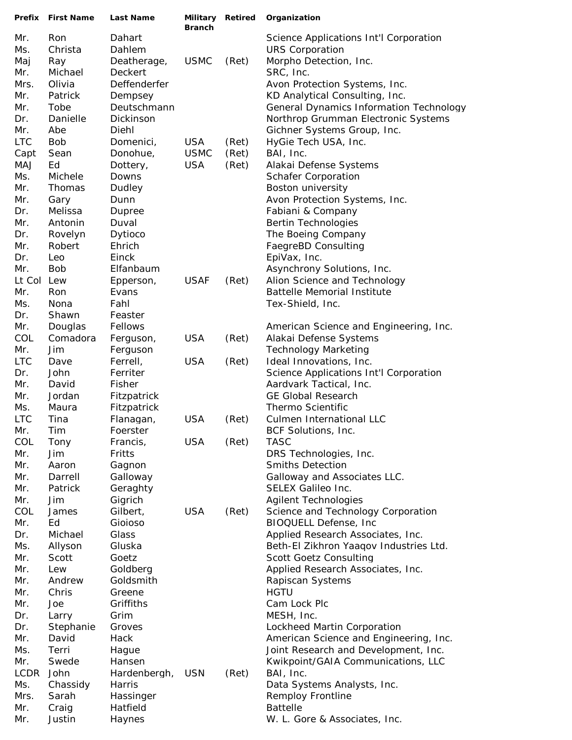| Prefix            | <b>First Name</b> | Last Name          | Military Retired<br><b>Branch</b> |       | Organization                                                       |
|-------------------|-------------------|--------------------|-----------------------------------|-------|--------------------------------------------------------------------|
| Mr.               | Ron               | Dahart             |                                   |       | Science Applications Int'l Corporation                             |
| Ms.               | Christa           | Dahlem             |                                   |       | <b>URS Corporation</b>                                             |
| Maj               | Ray               | Deatherage,        | <b>USMC</b>                       | (Ret) | Morpho Detection, Inc.                                             |
| Mr.               | Michael           | Deckert            |                                   |       | SRC, Inc.                                                          |
| Mrs.              | Olivia            | Deffenderfer       |                                   |       | Avon Protection Systems, Inc.                                      |
| Mr.               | Patrick           | Dempsey            |                                   |       | KD Analytical Consulting, Inc.                                     |
| Mr.               | Tobe              | Deutschmann        |                                   |       | <b>General Dynamics Information Technology</b>                     |
| Dr.               | Danielle          | Dickinson          |                                   |       | Northrop Grumman Electronic Systems                                |
| Mr.               | Abe               | Diehl              |                                   |       | Gichner Systems Group, Inc.                                        |
| <b>LTC</b>        | <b>Bob</b>        | Domenici,          | <b>USA</b>                        | (Ret) | HyGie Tech USA, Inc.                                               |
| Capt              | Sean              | Donohue,           | <b>USMC</b>                       | (Ret) | BAI, Inc.                                                          |
| <b>MAJ</b>        | Ed                | Dottery,           | <b>USA</b>                        | (Ret) | Alakai Defense Systems                                             |
| Ms.               | Michele           | Downs              |                                   |       | <b>Schafer Corporation</b>                                         |
| Mr.               | Thomas            | Dudley             |                                   |       | Boston university                                                  |
| Mr.               | Gary              | Dunn               |                                   |       | Avon Protection Systems, Inc.                                      |
| Dr.               | Melissa           | Dupree             |                                   |       | Fabiani & Company                                                  |
| Mr.               | Antonin           | Duval              |                                   |       | <b>Bertin Technologies</b>                                         |
| Dr.               | Rovelyn           | Dytioco            |                                   |       | The Boeing Company                                                 |
| Mr.               | Robert            | Ehrich             |                                   |       | FaegreBD Consulting                                                |
| Dr.               | Leo               | Einck              |                                   |       | EpiVax, Inc.                                                       |
| Mr.<br>Lt Col Lew | <b>Bob</b>        | Elfanbaum          | <b>USAF</b>                       |       | Asynchrony Solutions, Inc.                                         |
| Mr.               | Ron               | Epperson,<br>Evans |                                   | (Ret) | Alion Science and Technology<br><b>Battelle Memorial Institute</b> |
| Ms.               | Nona              | Fahl               |                                   |       | Tex-Shield, Inc.                                                   |
| Dr.               | Shawn             | Feaster            |                                   |       |                                                                    |
| Mr.               | Douglas           | Fellows            |                                   |       | American Science and Engineering, Inc.                             |
| COL               | Comadora          | Ferguson,          | <b>USA</b>                        | (Ret) | Alakai Defense Systems                                             |
| Mr.               | Jim               | Ferguson           |                                   |       | <b>Technology Marketing</b>                                        |
| <b>LTC</b>        | Dave              | Ferrell,           | <b>USA</b>                        | (Ret) | Ideal Innovations, Inc.                                            |
| Dr.               | John              | Ferriter           |                                   |       | Science Applications Int'l Corporation                             |
| Mr.               | David             | Fisher             |                                   |       | Aardvark Tactical, Inc.                                            |
| Mr.               | Jordan            | Fitzpatrick        |                                   |       | <b>GE Global Research</b>                                          |
| Ms.               | Maura             | Fitzpatrick        |                                   |       | Thermo Scientific                                                  |
| <b>LTC</b>        | Tina              | Flanagan,          | <b>USA</b>                        | (Ret) | Culmen International LLC                                           |
| Mr.               | Tim               | Foerster           |                                   |       | BCF Solutions, Inc.                                                |
| COL               | Tony              | Francis,           | <b>USA</b>                        | (Ret) | <b>TASC</b>                                                        |
| Mr.               | Jim               | Fritts             |                                   |       | DRS Technologies, Inc.                                             |
| Mr.               | Aaron             | Gagnon             |                                   |       | <b>Smiths Detection</b>                                            |
| Mr.               | Darrell           | Galloway           |                                   |       | Galloway and Associates LLC.                                       |
| Mr.               | Patrick           | Geraghty           |                                   |       | <b>SELEX Galileo Inc.</b>                                          |
| Mr.               | Jim               | Gigrich            |                                   |       | <b>Agilent Technologies</b>                                        |
| COL               | James             | Gilbert,           | <b>USA</b>                        | (Ret) | Science and Technology Corporation                                 |
| Mr.<br>Dr.        | Ed<br>Michael     | Gioioso<br>Glass   |                                   |       | BIOQUELL Defense, Inc<br>Applied Research Associates, Inc.         |
| Ms.               | Allyson           | Gluska             |                                   |       | Beth-El Zikhron Yaagov Industries Ltd.                             |
| Mr.               | Scott             | Goetz              |                                   |       | <b>Scott Goetz Consulting</b>                                      |
| Mr.               | Lew               | Goldberg           |                                   |       | Applied Research Associates, Inc.                                  |
| Mr.               | Andrew            | Goldsmith          |                                   |       | Rapiscan Systems                                                   |
| Mr.               | Chris             | Greene             |                                   |       | <b>HGTU</b>                                                        |
| Mr.               | Joe               | Griffiths          |                                   |       | Cam Lock Plc                                                       |
| Dr.               | Larry             | Grim               |                                   |       | MESH, Inc.                                                         |
| Dr.               | Stephanie         | Groves             |                                   |       | Lockheed Martin Corporation                                        |
| Mr.               | David             | Hack               |                                   |       | American Science and Engineering, Inc.                             |
| Ms.               | Terri             | Hague              |                                   |       | Joint Research and Development, Inc.                               |
| Mr.               | Swede             | Hansen             |                                   |       | Kwikpoint/GAIA Communications, LLC                                 |
| <b>LCDR</b>       | John              | Hardenbergh,       | <b>USN</b>                        | (Ret) | BAI, Inc.                                                          |
| Ms.               | Chassidy          | Harris             |                                   |       | Data Systems Analysts, Inc.                                        |
| Mrs.              | Sarah             | Hassinger          |                                   |       | <b>Remploy Frontline</b>                                           |
| Mr.               | Craig             | Hatfield           |                                   |       | <b>Battelle</b>                                                    |
| Mr.               | Justin            | Haynes             |                                   |       | W. L. Gore & Associates, Inc.                                      |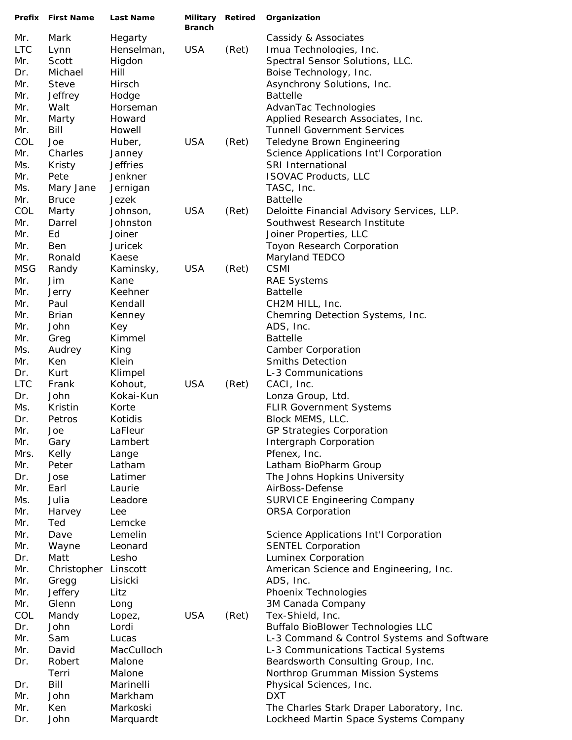|                   | <b>Prefix</b> First Name | Last Name          | <b>Branch</b> | Military Retired | Organization                                                                            |
|-------------------|--------------------------|--------------------|---------------|------------------|-----------------------------------------------------------------------------------------|
| Mr.               | Mark                     | Hegarty            |               |                  | Cassidy & Associates                                                                    |
| <b>LTC</b>        | Lynn                     | Henselman,         | <b>USA</b>    | (Ret)            | Imua Technologies, Inc.                                                                 |
| Mr.               | Scott                    | Higdon             |               |                  | Spectral Sensor Solutions, LLC.                                                         |
| Dr.               | Michael                  | Hill               |               |                  | Boise Technology, Inc.                                                                  |
| Mr.               | Steve                    | Hirsch             |               |                  | Asynchrony Solutions, Inc.                                                              |
| Mr.               | Jeffrey                  | Hodge              |               |                  | <b>Battelle</b>                                                                         |
| Mr.               | Walt                     | Horseman           |               |                  | AdvanTac Technologies                                                                   |
| Mr.               | Marty                    | Howard             |               |                  | Applied Research Associates, Inc.                                                       |
| Mr.               | Bill                     | Howell             |               |                  | <b>Tunnell Government Services</b>                                                      |
| COL               | Joe                      | Huber,             | <b>USA</b>    | (Ret)            | Teledyne Brown Engineering                                                              |
| Mr.               | Charles                  | Janney             |               |                  | Science Applications Int'l Corporation                                                  |
| Ms.               | Kristy                   | <b>Jeffries</b>    |               |                  | SRI International                                                                       |
| Mr.               | Pete                     | Jenkner            |               |                  | <b>ISOVAC Products, LLC</b>                                                             |
| Ms.               | Mary Jane                | Jernigan           |               |                  | TASC, Inc.                                                                              |
| Mr.               | <b>Bruce</b>             | Jezek              |               |                  | <b>Battelle</b>                                                                         |
| COL               | Marty                    | Johnson,           | <b>USA</b>    | (Ret)            | Deloitte Financial Advisory Services, LLP.                                              |
| Mr.               | Darrel                   | Johnston           |               |                  | Southwest Research Institute                                                            |
| Mr.               | Ed                       | Joiner             |               |                  | Joiner Properties, LLC                                                                  |
| Mr.               | <b>Ben</b>               | Juricek            |               |                  | Toyon Research Corporation                                                              |
| Mr.               | Ronald                   | Kaese              |               |                  | Maryland TEDCO                                                                          |
| <b>MSG</b>        | Randy                    | Kaminsky,          | <b>USA</b>    | (Ret)            | <b>CSMI</b>                                                                             |
| Mr.               | Jim                      | Kane               |               |                  | <b>RAE Systems</b>                                                                      |
| Mr.               | Jerry                    | Keehner            |               |                  | <b>Battelle</b>                                                                         |
| Mr.               | Paul                     | Kendall            |               |                  | CH2M HILL, Inc.                                                                         |
| Mr.               | <b>Brian</b>             | Kenney             |               |                  | Chemring Detection Systems, Inc.                                                        |
| Mr.               | John                     | Key                |               |                  | ADS, Inc.                                                                               |
| Mr.               | Greg                     | Kimmel             |               |                  | <b>Battelle</b>                                                                         |
| Ms.               | Audrey                   | King               |               |                  | <b>Camber Corporation</b>                                                               |
| Mr.               | Ken<br>Kurt              | Klein              |               |                  | <b>Smiths Detection</b><br>L-3 Communications                                           |
| Dr.<br><b>LTC</b> | Frank                    | Klimpel<br>Kohout, | <b>USA</b>    | (Ret)            | CACI, Inc.                                                                              |
| Dr.               | John                     | Kokai-Kun          |               |                  | Lonza Group, Ltd.                                                                       |
| Ms.               | Kristin                  | Korte              |               |                  | <b>FLIR Government Systems</b>                                                          |
| Dr.               | Petros                   | Kotidis            |               |                  | Block MEMS, LLC.                                                                        |
| Mr.               | Joe                      | LaFleur            |               |                  | <b>GP Strategies Corporation</b>                                                        |
| Mr.               | Gary                     | Lambert            |               |                  | Intergraph Corporation                                                                  |
| Mrs.              | Kelly                    | Lange              |               |                  | Pfenex, Inc.                                                                            |
| Mr.               | Peter                    | Latham             |               |                  | Latham BioPharm Group                                                                   |
| Dr.               | Jose                     | Latimer            |               |                  | The Johns Hopkins University                                                            |
| Mr.               | Earl                     | Laurie             |               |                  | AirBoss-Defense                                                                         |
| Ms.               | Julia                    | Leadore            |               |                  | <b>SURVICE Engineering Company</b>                                                      |
| Mr.               | Harvey                   | Lee                |               |                  | <b>ORSA Corporation</b>                                                                 |
| Mr.               | Ted                      | Lemcke             |               |                  |                                                                                         |
| Mr.               | Dave                     | Lemelin            |               |                  | Science Applications Int'l Corporation                                                  |
| Mr.               | Wayne                    | Leonard            |               |                  | <b>SENTEL Corporation</b>                                                               |
| Dr.               | Matt                     | Lesho              |               |                  | Luminex Corporation                                                                     |
| Mr.               | Christopher              | Linscott           |               |                  | American Science and Engineering, Inc.                                                  |
| Mr.               | Gregg                    | Lisicki            |               |                  | ADS, Inc.                                                                               |
| Mr.               | Jeffery                  | Litz               |               |                  | Phoenix Technologies                                                                    |
| Mr.               | Glenn                    | Long               |               |                  | 3M Canada Company                                                                       |
| COL               | Mandy                    | Lopez,             | <b>USA</b>    | (Ret)            | Tex-Shield, Inc.                                                                        |
| Dr.<br>Mr.        | John<br>Sam              | Lordi<br>Lucas     |               |                  | <b>Buffalo BioBlower Technologies LLC</b><br>L-3 Command & Control Systems and Software |
| Mr.               | David                    | MacCulloch         |               |                  | L-3 Communications Tactical Systems                                                     |
| Dr.               | Robert                   | Malone             |               |                  | Beardsworth Consulting Group, Inc.                                                      |
|                   | Terri                    | Malone             |               |                  | Northrop Grumman Mission Systems                                                        |
| Dr.               | Bill                     | Marinelli          |               |                  | Physical Sciences, Inc.                                                                 |
| Mr.               | John                     | Markham            |               |                  | <b>DXT</b>                                                                              |
| Mr.               | Ken                      | Markoski           |               |                  | The Charles Stark Draper Laboratory, Inc.                                               |
| Dr.               | John                     | Marquardt          |               |                  | Lockheed Martin Space Systems Company                                                   |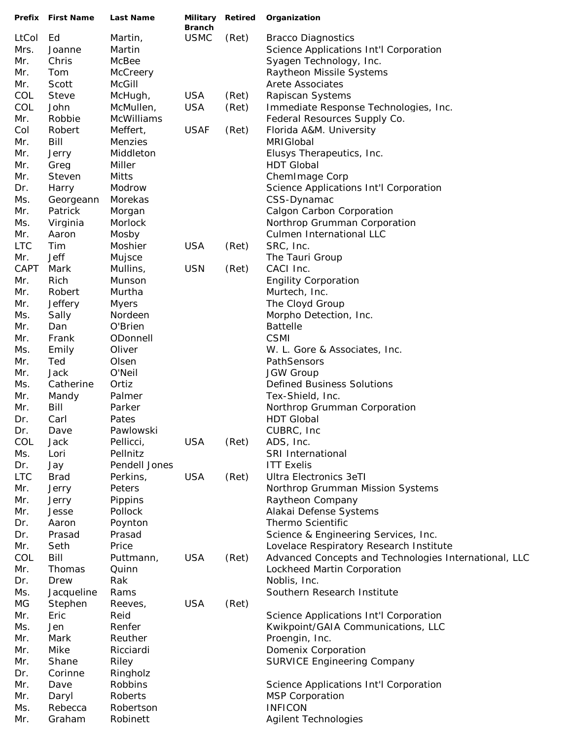|            | Prefix First Name | Last Name             | <b>Branch</b> |       | Military Retired Organization                         |
|------------|-------------------|-----------------------|---------------|-------|-------------------------------------------------------|
| LtCol      | Ed                | Martin,               | <b>USMC</b>   | (Ret) | <b>Bracco Diagnostics</b>                             |
| Mrs.       | Joanne            | Martin                |               |       | Science Applications Int'l Corporation                |
| Mr.        | Chris             | McBee                 |               |       | Syagen Technology, Inc.                               |
| Mr.        | Tom               | McCreery              |               |       | Raytheon Missile Systems                              |
| Mr.        | Scott             | <b>McGill</b>         |               |       | <b>Arete Associates</b>                               |
| COL        | Steve             | McHugh,               | <b>USA</b>    | (Ret) | Rapiscan Systems                                      |
| COL        | John              | McMullen,             | <b>USA</b>    | (Ret) | Immediate Response Technologies, Inc.                 |
| Mr.        | Robbie            | <b>McWilliams</b>     |               |       | Federal Resources Supply Co.                          |
| Col        | Robert            | Meffert,              | <b>USAF</b>   | (Ret) | Florida A&M. University                               |
| Mr.        | Bill              | Menzies               |               |       | MRIGIobal                                             |
| Mr.        | Jerry             | Middleton             |               |       | Elusys Therapeutics, Inc.                             |
| Mr.        | Greg              | Miller                |               |       | <b>HDT Global</b>                                     |
| Mr.        | Steven            | Mitts                 |               |       | ChemImage Corp                                        |
| Dr.        | Harry             | Modrow                |               |       | Science Applications Int'l Corporation                |
| Ms.        | Georgeann         | Morekas               |               |       | CSS-Dynamac                                           |
| Mr.        | Patrick           | Morgan                |               |       | <b>Calgon Carbon Corporation</b>                      |
| Ms.        | Virginia          | Morlock               |               |       | Northrop Grumman Corporation                          |
| Mr.        | Aaron             | Mosby                 |               |       | Culmen International LLC                              |
| <b>LTC</b> | Tim               | Moshier               | <b>USA</b>    | (Ret) | SRC, Inc.                                             |
| Mr.        | <b>Jeff</b>       | Mujsce                |               |       | The Tauri Group                                       |
| CAPT       | Mark              | Mullins,              | <b>USN</b>    | (Ret) | CACI Inc.                                             |
| Mr.        | Rich              | Munson                |               |       | <b>Engility Corporation</b>                           |
| Mr.        | Robert            | Murtha                |               |       | Murtech, Inc.                                         |
| Mr.        | Jeffery           | <b>Myers</b>          |               |       | The Cloyd Group                                       |
| Ms.        | Sally             | Nordeen               |               |       | Morpho Detection, Inc.                                |
| Mr.        | Dan               | O'Brien               |               |       | <b>Battelle</b>                                       |
| Mr.        | Frank             | ODonnell              |               |       | <b>CSMI</b>                                           |
| Ms.        | Emily             | Oliver                |               |       | W. L. Gore & Associates, Inc.                         |
| Mr.        | Ted               | Olsen                 |               |       | PathSensors                                           |
| Mr.        | Jack              | O'Neil                |               |       | <b>JGW Group</b>                                      |
| Ms.        | Catherine         | Ortiz                 |               |       | <b>Defined Business Solutions</b>                     |
| Mr.        | Mandy             | Palmer                |               |       | Tex-Shield, Inc.                                      |
| Mr.        | Bill              | Parker                |               |       | Northrop Grumman Corporation                          |
| Dr.        |                   |                       |               |       | <b>HDT Global</b>                                     |
|            | Carl              | Pates                 |               |       |                                                       |
| Dr.        | Dave              | Pawlowski             | <b>USA</b>    | (Ret) | CUBRC, Inc<br>ADS, Inc.                               |
| COL        | Jack              | Pellicci,<br>Pellnitz |               |       |                                                       |
| Ms.        | Lori              |                       |               |       | SRI International                                     |
| Dr.        | Jay               | Pendell Jones         |               |       | <b>ITT Exelis</b>                                     |
| <b>LTC</b> | <b>Brad</b>       | Perkins,              | <b>USA</b>    | (Ret) | <b>Ultra Electronics 3eTI</b>                         |
| Mr.        | Jerry             | Peters                |               |       | Northrop Grumman Mission Systems                      |
| Mr.        | Jerry             | Pippins               |               |       | Raytheon Company                                      |
| Mr.        | Jesse             | Pollock               |               |       | Alakai Defense Systems                                |
| Dr.        | Aaron             | Poynton               |               |       | Thermo Scientific                                     |
| Dr.        | Prasad            | Prasad                |               |       | Science & Engineering Services, Inc.                  |
| Mr.        | Seth              | Price                 |               |       | Lovelace Respiratory Research Institute               |
| COL        | Bill              | Puttmann,             | <b>USA</b>    | (Ret) | Advanced Concepts and Technologies International, LLC |
| Mr.        | Thomas            | Quinn                 |               |       | Lockheed Martin Corporation                           |
| Dr.        | Drew              | Rak                   |               |       | Noblis, Inc.                                          |
| Ms.        | Jacqueline        | Rams                  |               |       | Southern Research Institute                           |
| MG         | Stephen           | Reeves,               | <b>USA</b>    | (Ret) |                                                       |
| Mr.        | Eric              | Reid                  |               |       | Science Applications Int'l Corporation                |
| Ms.        | Jen               | Renfer                |               |       | Kwikpoint/GAIA Communications, LLC                    |
| Mr.        | Mark              | Reuther               |               |       | Proengin, Inc.                                        |
| Mr.        | Mike              | Ricciardi             |               |       | Domenix Corporation                                   |
| Mr.        | Shane             | Riley                 |               |       | <b>SURVICE Engineering Company</b>                    |
| Dr.        | Corinne           | Ringholz              |               |       |                                                       |
| Mr.        | Dave              | Robbins               |               |       | Science Applications Int'l Corporation                |
| Mr.        | Daryl             | Roberts               |               |       | <b>MSP Corporation</b>                                |
| Ms.        | Rebecca           | Robertson             |               |       | <b>INFICON</b>                                        |
| Mr.        | Graham            | Robinett              |               |       | <b>Agilent Technologies</b>                           |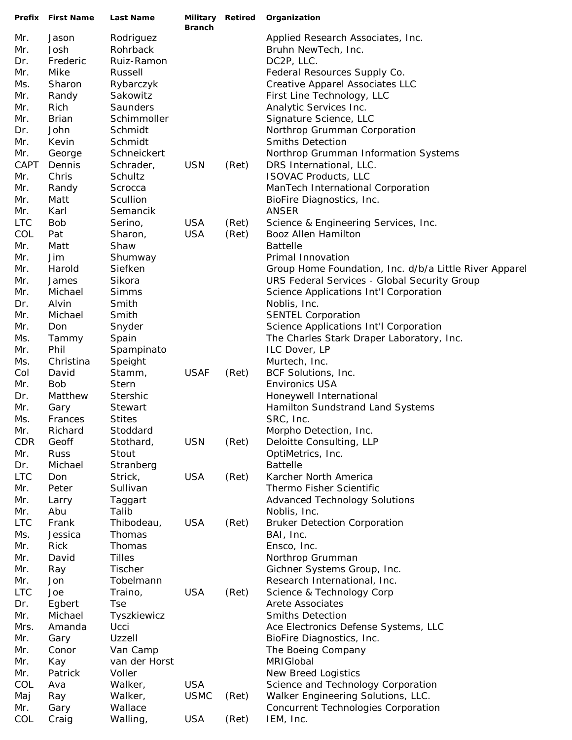|            | Prefix First Name | Last Name     | Military Retired<br><b>Branch</b> |       | Organization                                           |
|------------|-------------------|---------------|-----------------------------------|-------|--------------------------------------------------------|
| Mr.        | Jason             | Rodriguez     |                                   |       | Applied Research Associates, Inc.                      |
| Mr.        | Josh              | Rohrback      |                                   |       | Bruhn NewTech, Inc.                                    |
| Dr.        | Frederic          | Ruiz-Ramon    |                                   |       | DC2P, LLC.                                             |
| Mr.        | Mike              | Russell       |                                   |       | Federal Resources Supply Co.                           |
| Ms.        | Sharon            | Rybarczyk     |                                   |       | Creative Apparel Associates LLC                        |
| Mr.        | Randy             | Sakowitz      |                                   |       | First Line Technology, LLC                             |
| Mr.        | Rich              | Saunders      |                                   |       | Analytic Services Inc.                                 |
| Mr.        | <b>Brian</b>      | Schimmoller   |                                   |       | Signature Science, LLC                                 |
| Dr.        | John              | Schmidt       |                                   |       | Northrop Grumman Corporation                           |
| Mr.        | Kevin             | Schmidt       |                                   |       | <b>Smiths Detection</b>                                |
| Mr.        | George            | Schneickert   |                                   |       | Northrop Grumman Information Systems                   |
| CAPT       | Dennis            | Schrader,     | <b>USN</b>                        | (Ret) | DRS International, LLC.                                |
| Mr.        | Chris             | Schultz       |                                   |       | <b>ISOVAC Products, LLC</b>                            |
| Mr.        | Randy             | Scrocca       |                                   |       | ManTech International Corporation                      |
| Mr.        | Matt              | Scullion      |                                   |       | BioFire Diagnostics, Inc.                              |
| Mr.        | Karl              | Semancik      |                                   |       | <b>ANSER</b>                                           |
| <b>LTC</b> | <b>Bob</b>        | Serino,       | <b>USA</b>                        | (Ret) | Science & Engineering Services, Inc.                   |
| COL        | Pat               | Sharon,       | <b>USA</b>                        | (Ret) | Booz Allen Hamilton                                    |
| Mr.        | Matt              | Shaw          |                                   |       | <b>Battelle</b>                                        |
| Mr.        | Jim               | Shumway       |                                   |       | Primal Innovation                                      |
| Mr.        | Harold            | Siefken       |                                   |       | Group Home Foundation, Inc. d/b/a Little River Apparel |
| Mr.        | James             | Sikora        |                                   |       | <b>URS Federal Services - Global Security Group</b>    |
| Mr.        | Michael           | Simms         |                                   |       | Science Applications Int'l Corporation                 |
| Dr.        | Alvin             | Smith         |                                   |       | Noblis, Inc.                                           |
| Mr.        | Michael           | Smith         |                                   |       | <b>SENTEL Corporation</b>                              |
| Mr.        | Don               | Snyder        |                                   |       | Science Applications Int'l Corporation                 |
| Ms.        | Tammy             | Spain         |                                   |       | The Charles Stark Draper Laboratory, Inc.              |
| Mr.        | Phil              | Spampinato    |                                   |       | ILC Dover, LP                                          |
| Ms.        | Christina         | Speight       |                                   |       | Murtech, Inc.                                          |
| Col        | David             | Stamm,        | <b>USAF</b>                       | (Ret) | BCF Solutions, Inc.                                    |
| Mr.        | <b>Bob</b>        | <b>Stern</b>  |                                   |       | <b>Environics USA</b>                                  |
| Dr.        | Matthew           | Stershic      |                                   |       | Honeywell International                                |
| Mr.        | Gary              | Stewart       |                                   |       | Hamilton Sundstrand Land Systems                       |
| Ms.        | Frances           | <b>Stites</b> |                                   |       | SRC, Inc.                                              |
| Mr.        | Richard           | Stoddard      |                                   |       | Morpho Detection, Inc.                                 |
| <b>CDR</b> | Geoff             | Stothard,     | <b>USN</b>                        | (Ret) | Deloitte Consulting, LLP                               |
| Mr.        | <b>Russ</b>       | Stout         |                                   |       | OptiMetrics, Inc.                                      |
| Dr.        | Michael           | Stranberg     |                                   |       | <b>Battelle</b>                                        |
| <b>LTC</b> | Don               | Strick,       | <b>USA</b>                        | (Ret) | Karcher North America                                  |
| Mr.        | Peter             | Sullivan      |                                   |       | Thermo Fisher Scientific                               |
| Mr.        | Larry             | Taggart       |                                   |       | <b>Advanced Technology Solutions</b>                   |
| Mr.        | Abu               | Talib         |                                   |       | Noblis, Inc.                                           |
| <b>LTC</b> | Frank             | Thibodeau,    | <b>USA</b>                        | (Ret) | <b>Bruker Detection Corporation</b>                    |
| Ms.        | Jessica           | Thomas        |                                   |       | BAI, Inc.                                              |
| Mr.        | Rick              | Thomas        |                                   |       | Ensco, Inc.                                            |
| Mr.        | David             | <b>Tilles</b> |                                   |       | Northrop Grumman                                       |
| Mr.        | Ray               | Tischer       |                                   |       | Gichner Systems Group, Inc.                            |
| Mr.        | Jon               | Tobelmann     |                                   |       | Research International, Inc.                           |
| <b>LTC</b> | Joe               | Traino,       | <b>USA</b>                        | (Ret) | Science & Technology Corp                              |
| Dr.        | Egbert            | <b>Tse</b>    |                                   |       | Arete Associates                                       |
| Mr.        | Michael           | Tyszkiewicz   |                                   |       | <b>Smiths Detection</b>                                |
| Mrs.       | Amanda            | Ucci          |                                   |       | Ace Electronics Defense Systems, LLC                   |
| Mr.        | Gary              | Uzzell        |                                   |       | BioFire Diagnostics, Inc.                              |
| Mr.        | Conor             | Van Camp      |                                   |       | The Boeing Company                                     |
| Mr.        | Kay               | van der Horst |                                   |       | MRIGIobal                                              |
| Mr.        | Patrick           | Voller        |                                   |       | New Breed Logistics                                    |
| COL        | Ava               | Walker,       | <b>USA</b>                        |       | Science and Technology Corporation                     |
| Maj        | Ray               | Walker,       | <b>USMC</b>                       | (Ret) | Walker Engineering Solutions, LLC.                     |
| Mr.        | Gary              | Wallace       |                                   |       | Concurrent Technologies Corporation                    |
| COL        | Craig             | Walling,      | <b>USA</b>                        | (Ret) | IEM, Inc.                                              |